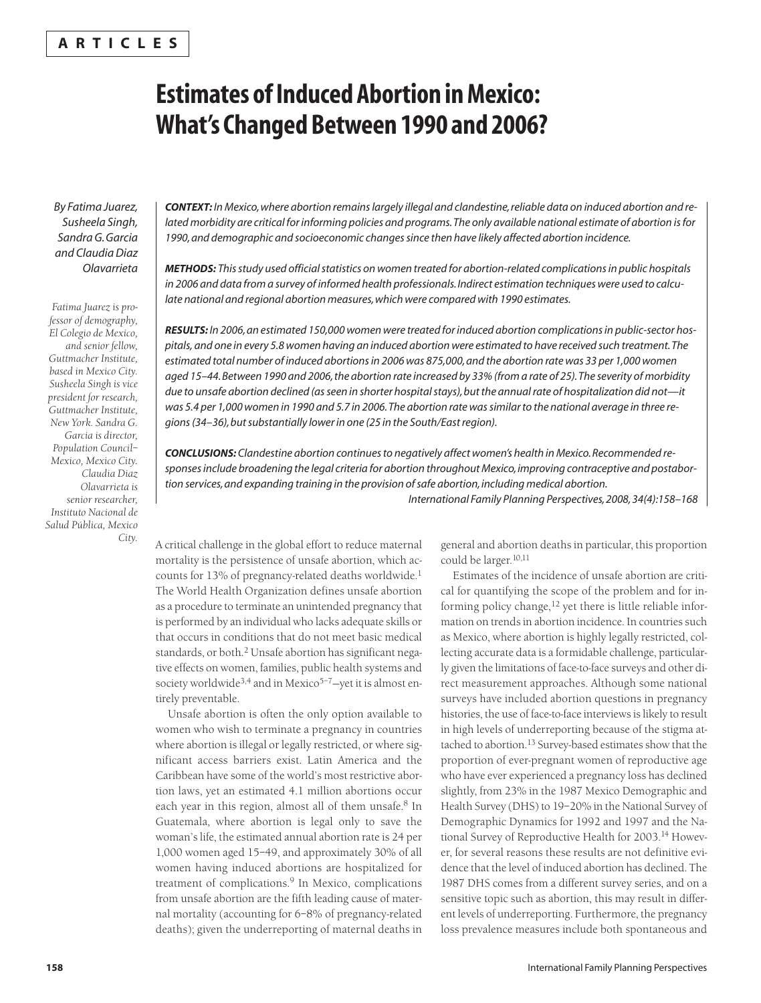## **A R T I C L E S**

# **Estimates of Induced Abortion in Mexico: What'sChangedBetween 1990 and 2006?**

*By Fatima Juarez, Susheela Singh, SandraG.Garcia and ClaudiaDiaz Olavarrieta*

*Fatima Juarez is professor of demography, El Colegio de Mexico, and senior fellow, Guttmacher Institute, based in Mexico City. Susheela Singh is vice president for research, Guttmacher Institute, New York. Sandra G. Garcia is director, Population Council– Mexico, Mexico City. Claudia Diaz Olavarrieta is senior researcher, Instituto Nacional de Salud Pública, Mexico City.*

*CONTEXT: InMexico,where abortion remainslargely illegal and clandestine,reliable data on induced abortion and related morbidity are critical forinforming policies and programs.The only available national estimate of abortion isfor 1990,and demographic and socioeconomic changessince then have likely affected abortion incidence.*

*METHODS: Thisstudy used officialstatistics on women treated for abortion-related complicationsin public hospitals* in 2006 and data from a survey of informed health professionals. Indirect estimation techniques were used to calcu*late national and regional abortion measures,which were compared with 1990 estimates.*

*RESULTS: In 2006,an estimated 150,000 women were treated forinduced abortion complicationsin public-sector hos*pitals, and one in every 5.8 women having an induced abortion were estimated to have received such treatment. The estimated total number of induced abortions in 2006 was 875,000, and the abortion rate was 33 per 1,000 women aged 15-44. Between 1990 and 2006, the abortion rate increased by 33% (from a rate of 25). The severity of morbidity *due to unsafe abortion declined (asseen in shorter hospitalstays),butthe annualrate of hospitalization did not—it* was 5.4 per 1,000 women in 1990 and 5.7 in 2006. The abortion rate was similar to the national average in three re*gions(34–36),butsubstantially lowerin one (25 in the South/Eastregion).*

*CONCLUSIONS: Clandestine abortion continuesto negatively affect women's health inMexico.Recommended responsesinclude broadening the legal criteria for abortion throughoutMexico,improving contraceptive and postabortion services,and expanding training in the provision ofsafe abortion,including medical abortion.*

*International Family Planning Perspectives,2008,34(4):158–168*

A critical challenge in the global effort to reduce maternal mortality is the persistence of unsafe abortion, which accounts for 13% of pregnancy-related deaths worldwide. 1 The World Health Organization defines unsafe abortion as a procedure to terminate an unintended pregnancy that is performed by an individual who lacks adequate skills or that occurs in conditions that do not meet basic medical standards, or both. <sup>2</sup> Unsafe abortion has significant negative effects on women, families, public health systems and society worldwide<sup>3,4</sup> and in Mexico<sup>5-7</sup>-yet it is almost entirely preventable.

Unsafe abortion is often the only option available to women who wish to terminate a pregnancy in countries where abortion is illegal or legally restricted, or where significant access barriers exist. Latin America and the Caribbean have some of the world's most restrictive abortion laws, yet an estimated 4.1 million abortions occur each year in this region, almost all of them unsafe. <sup>8</sup> In Guatemala, where abortion is legal only to save the woman's life, the estimated annual abortion rate is 24 per 1,000 women aged 15–49, and approximately 30% of all women having induced abortions are hospitalized for treatment of complications. <sup>9</sup> In Mexico, complications from unsafe abortion are the fifth leading cause of maternal mortality (accounting for 6–8% of pregnancy-related deaths); given the underreporting of maternal deaths in general and abortion deaths in particular, this proportion could be larger. 10,11

Estimates of the incidence of unsafe abortion are critical for quantifying the scope of the problem and for informing policy change, <sup>12</sup> yet there is little reliable information on trends in abortion incidence. In countries such as Mexico, where abortion is highly legally restricted, collecting accurate data is a formidable challenge, particularly given the limitations of face-to-face surveys and other direct measurement approaches. Although some national surveys have included abortion questions in pregnancy histories, the use of face-to-face interviews is likely to result in high levels of underreporting because of the stigma attached to abortion. <sup>13</sup> Survey-based estimates show that the proportion of ever-pregnant women of reproductive age who have ever experienced a pregnancy loss has declined slightly, from 23% in the 1987 Mexico Demographic and Health Survey (DHS) to 19-20% in the National Survey of Demographic Dynamics for 1992 and 1997 and the National Survey of Reproductive Health for 2003. <sup>14</sup> However, for several reasons these results are not definitive evidence that the level of induced abortion has declined. The 1987 DHS comes from a different survey series, and on a sensitive topic such as abortion, this may result in different levels of underreporting. Furthermore, the pregnancy loss prevalence measures include both spontaneous and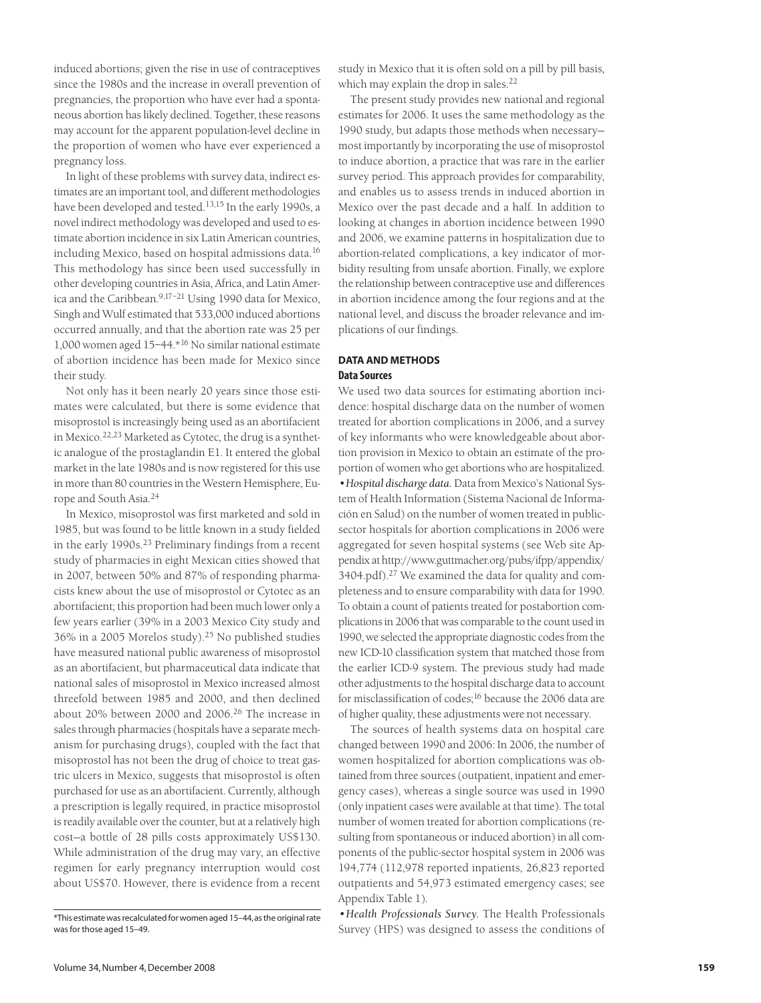induced abortions; given the rise in use of contraceptives since the 1980s and the increase in overall prevention of pregnancies, the proportion who have ever had a spontaneous abortion has likely declined. Together, these reasons may account for the apparent population-level decline in the proportion of women who have ever experienced a pregnancy loss.

In light of these problems with survey data, indirect estimates are an important tool, and different methodologies have been developed and tested. 13,15 In the early 1990s, a novel indirect methodology was developed and used to estimate abortion incidence in six Latin American countries, including Mexico, based on hospital admissions data. 16 This methodology has since been used successfully in other developing countries in Asia, Africa, and Latin America and the Caribbean. 9,17–21 Using 1990 data for Mexico, Singh and Wulf estimated that 533,000 induced abortions occurred annually, and that the abortion rate was 25 per 1,000 women aged 15–44.\*16 No similar national estimate of abortion incidence has been made for Mexico since their study.

Not only has it been nearly 20 years since those estimates were calculated, but there is some evidence that misoprostol is increasingly being used as an abortifacient in Mexico. 22,23 Marketed as Cytotec, the drug is a synthetic analogue of the prostaglandin E1. It entered the global market in the late 1980s and is now registered for this use in more than 80 countries in the Western Hemisphere, Europe and South Asia. 24

In Mexico, misoprostol was first marketed and sold in 1985, but was found to be little known in a study fielded in the early 1990s. <sup>23</sup> Preliminary findings from a recent study of pharmacies in eight Mexican cities showed that in 2007, between 50% and 87% of responding pharmacists knew about the use of misoprostol or Cytotec as an abortifacient; this proportion had been much lower only a few years earlier (39% in a 2003 Mexico City study and 36% in a 2005 Morelos study). <sup>25</sup> No published studies have measured national public awareness of misoprostol as an abortifacient, but pharmaceutical data indicate that national sales of misoprostol in Mexico increased almost threefold between 1985 and 2000, and then declined about 20% between 2000 and 2006. <sup>26</sup> The increase in sales through pharmacies (hospitals have a separate mechanism for purchasing drugs), coupled with the fact that misoprostol has not been the drug of choice to treat gastric ulcers in Mexico, suggests that misoprostol is often purchased for use as an abortifacient. Currently, although a prescription is legally required, in practice misoprostol is readily available over the counter, but at a relatively high cost—a bottle of 28 pills costs approximately US\$130. While administration of the drug may vary, an effective regimen for early pregnancy interruption would cost about US\$70. However, there is evidence from a recent

study in Mexico that it is often sold on a pill by pill basis, which may explain the drop in sales.<sup>22</sup>

The present study provides new national and regional estimates for 2006. It uses the same methodology as the 1990 study, but adapts those methods when necessary most importantly by incorporating the use of misoprostol to induce abortion, a practice that was rare in the earlier survey period. This approach provides for comparability, and enables us to assess trends in induced abortion in Mexico over the past decade and a half. In addition to looking at changes in abortion incidence between 1990 and 2006, we examine patterns in hospitalization due to abortion-related complications, a key indicator of morbidity resulting from unsafe abortion. Finally, we explore the relationship between contraceptive use and differences in abortion incidence among the four regions and at the national level, and discuss the broader relevance and implications of our findings.

## **DATA AND METHODS Data Sources**

We used two data sources for estimating abortion incidence: hospital discharge data on the number of women treated for abortion complications in 2006, and a survey of key informants who were knowledgeable about abortion provision in Mexico to obtain an estimate of the proportion of women who get abortions who are hospitalized. *•Hospital discharge data.* Data from Mexico's National System of Health Information (Sistema Nacional de Información en Salud) on the number of women treated in publicsector hospitals for abortion complications in 2006 were aggregated for seven hospital systems (see Web site Appendix at [http://www.guttmacher.org/pubs/ifpp/appendix/](http://www.guttmacher.org/pubs/ifpp/appendix/3404.pdf) 3404.pdf). <sup>27</sup> We examined the data for quality and completeness and to ensure comparability with data for 1990. To obtain a count of patients treated for postabortion complications in 2006 that was comparable to the count used in 1990, we selected the appropriate diagnostic codes from the new ICD-10 classification system that matched those from the earlier ICD-9 system. The previous study had made other adjustments to the hospital discharge data to account for misclassification of codes; <sup>16</sup> because the 2006 data are of higher quality, these adjustments were not necessary.

The sources of health systems data on hospital care changed between 1990 and 2006: In 2006, the number of women hospitalized for abortion complications was obtained from three sources (outpatient, inpatient and emergency cases), whereas a single source was used in 1990 (only inpatient cases were available at that time). The total number of women treated for abortion complications (resulting from spontaneous or induced abortion) in all components of the public-sector hospital system in 2006 was 194,774 (112,978 reported inpatients, 26,823 reported outpatients and 54,973 estimated emergency cases; see Appendix Table 1).

*•Health Professionals Survey.* The Health Professionals Survey (HPS) was designed to assess the conditions of

<sup>\*</sup>This estimate was recalculated for women aged 15-44, as the original rate was for those aged 15-49.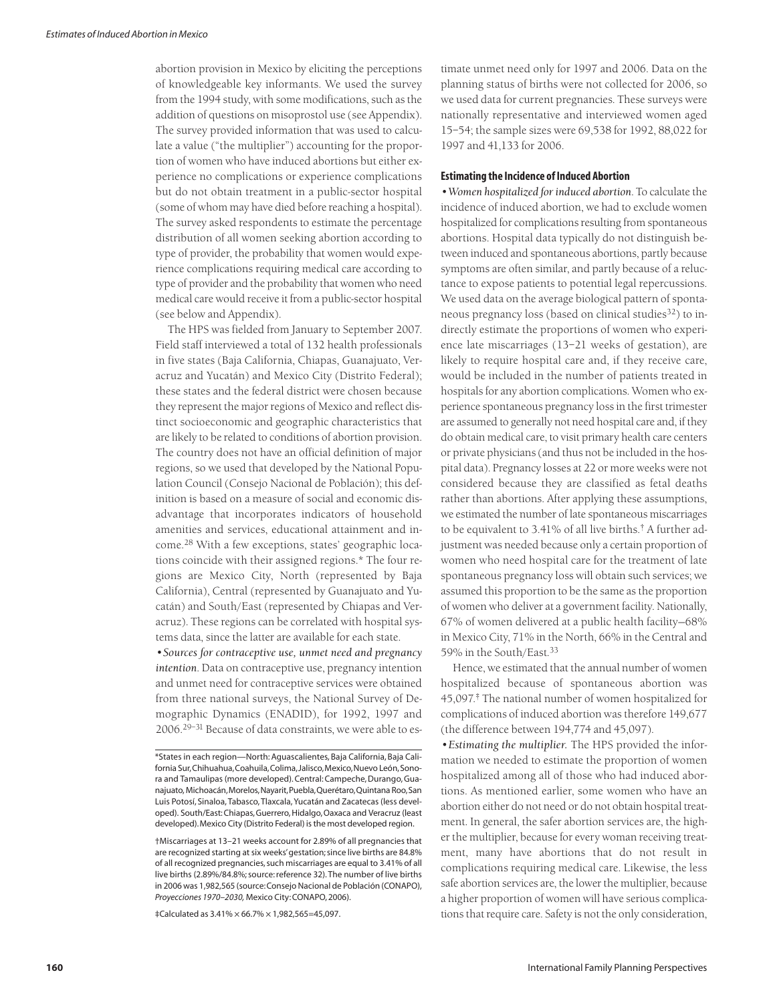abortion provision in Mexico by eliciting the perceptions of knowledgeable key informants. We used the survey from the 1994 study, with some modifications, such as the addition of questions on misoprostol use (see Appendix). The survey provided information that was used to calculate a value ("the multiplier") accounting for the proportion of women who have induced abortions but either experience no complications or experience complications but do not obtain treatment in a public-sector hospital (some of whom may have died before reaching a hospital). The survey asked respondents to estimate the percentage distribution of all women seeking abortion according to type of provider, the probability that women would experience complications requiring medical care according to type of provider and the probability that women who need medical care would receive it from a public-sector hospital (see below and Appendix).

The HPS was fielded from January to September 2007. Field staff interviewed a total of 132 health professionals in five states (Baja California, Chiapas, Guanajuato, Veracruz and Yucatán) and Mexico City (Distrito Federal); these states and the federal district were chosen because they represent the major regions of Mexico and reflect distinct socioeconomic and geographic characteristics that are likely to be related to conditions of abortion provision. The country does not have an official definition of major regions, so we used that developed by the National Population Council (Consejo Nacional de Población); this definition is based on a measure of social and economic disadvantage that incorporates indicators of household amenities and services, educational attainment and income. <sup>28</sup> With a few exceptions, states' geographic locations coincide with their assigned regions.\* The four regions are Mexico City, North (represented by Baja California), Central (represented by Guanajuato and Yucatán) and South/East (represented by Chiapas and Veracruz). These regions can be correlated with hospital systems data, since the latter are available for each state.

*•Sources for contraceptive use, unmet need and pregnancy intention*. Data on contraceptive use, pregnancy intention and unmet need for contraceptive services were obtained from three national surveys, the National Survey of Demographic Dynamics (ENADID), for 1992, 1997 and 2006. 29–31 Because of data constraints, we were able to es-

‡Calculated as 3.41% × 66.7% × 1,982,565=45,097.

timate unmet need only for 1997 and 2006. Data on the planning status of births were not collected for 2006, so we used data for current pregnancies. These surveys were nationally representative and interviewed women aged 15–54; the sample sizes were 69,538 for 1992, 88,022 for 1997 and 41,133 for 2006.

#### **Estimating the Incidence of Induced Abortion**

•*Women hospitalized forinduced abortion*. To calculate the incidence of induced abortion, we had to exclude women hospitalized for complications resulting from spontaneous abortions. Hospital data typically do not distinguish between induced and spontaneous abortions, partly because symptoms are often similar, and partly because of a reluctance to expose patients to potential legal repercussions. We used data on the average biological pattern of spontaneous pregnancy loss (based on clinical studies<sup>32</sup>) to indirectly estimate the proportions of women who experience late miscarriages (13–21 weeks of gestation), are likely to require hospital care and, if they receive care, would be included in the number of patients treated in hospitals for any abortion complications. Women who experience spontaneous pregnancy loss in the first trimester are assumed to generally not need hospital care and, if they do obtain medical care, to visit primary health care centers or private physicians (and thus not be included in the hospital data). Pregnancy losses at 22 or more weeks were not considered because they are classified as fetal deaths rather than abortions. After applying these assumptions, we estimated the number of late spontaneous miscarriages to be equivalent to 3.41% of all live births. † A further adjustment was needed because only a certain proportion of women who need hospital care for the treatment of late spontaneous pregnancy loss will obtain such services; we assumed this proportion to be the same as the proportion of women who deliver at a government facility. Nationally, 67% of women delivered at a public health facility—68% in Mexico City, 71% in the North, 66% in the Central and 59% in the South/East. 33

Hence, we estimated that the annual number of women hospitalized because of spontaneous abortion was 45,097. ‡ The national number of women hospitalized for complications of induced abortion was therefore 149,677 (the difference between 194,774 and 45,097).

*•Estimating the multiplier.* The HPS provided the information we needed to estimate the proportion of women hospitalized among all of those who had induced abortions. As mentioned earlier, some women who have an abortion either do not need or do not obtain hospital treatment. In general, the safer abortion services are, the higher the multiplier, because for every woman receiving treatment, many have abortions that do not result in complications requiring medical care. Likewise, the less safe abortion services are, the lower the multiplier, because a higher proportion of women will have serious complications that require care. Safety is not the only consideration,

<sup>\*</sup>States in each region—North:Aguascalientes, Baja California, Baja California Sur,Chihuahua,Coahuila,Colima,Jalisco,Mexico,Nuevo León,Sonora and Tamaulipas (more developed). Central: Campeche, Durango, Guanajuato, Michoacán,Morelos,Nayarit,Puebla,Querétaro,Quintana Roo,San Luis Potosí, Sinaloa, Tabasco, Tlaxcala,Yucatán and Zacatecas (less developed). South/East:Chiapas,Guerrero,Hidalgo,Oaxaca and Veracruz (least developed). Mexico City (Distrito Federal) is the most developed region.

<sup>†</sup>Miscarriages at 13–21 weeks account for 2.89% of all pregnancies that are recognized starting at six weeks' gestation; since live births are 84.8% of all recognized pregnancies,such miscarriages are equal to 3.41% of all live births (2.89%/84.8%; source: reference 32). The number of live births in 2006 was 1,982,565 (source: Consejo Nacional de Población (CONAPO), *Proyecciones 1970–2030,* Mexico City:CONAPO,2006).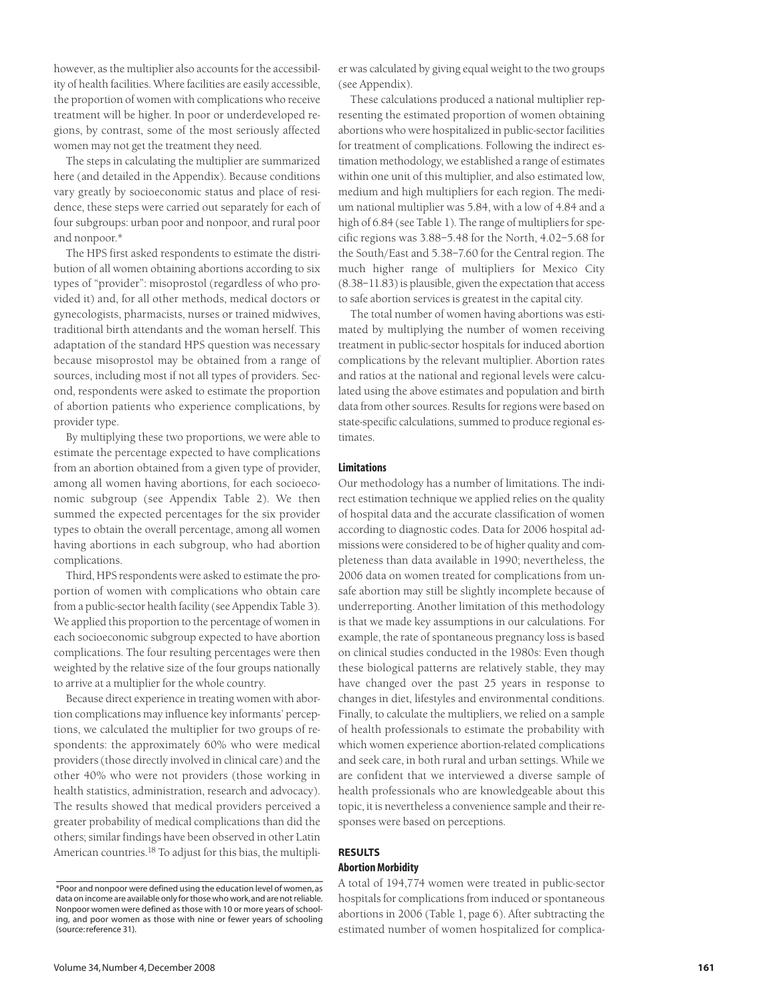however, as the multiplier also accounts for the accessibility of health facilities. Where facilities are easily accessible, the proportion of women with complications who receive treatment will be higher. In poor or underdeveloped regions, by contrast, some of the most seriously affected women may not get the treatment they need.

The steps in calculating the multiplier are summarized here (and detailed in the Appendix). Because conditions vary greatly by socioeconomic status and place of residence, these steps were carried out separately for each of four subgroups: urban poor and nonpoor, and rural poor and nonpoor.\*

The HPS first asked respondents to estimate the distribution of all women obtaining abortions according to six types of "provider": misoprostol (regardless of who provided it) and, for all other methods, medical doctors or gynecologists, pharmacists, nurses or trained midwives, traditional birth attendants and the woman herself. This adaptation of the standard HPS question was necessary because misoprostol may be obtained from a range of sources, including most if not all types of providers. Second, respondents were asked to estimate the proportion of abortion patients who experience complications, by provider type.

By multiplying these two proportions, we were able to estimate the percentage expected to have complications from an abortion obtained from a given type of provider, among all women having abortions, for each socioeconomic subgroup (see Appendix Table 2). We then summed the expected percentages for the six provider types to obtain the overall percentage, among all women having abortions in each subgroup, who had abortion complications.

Third, HPS respondents were asked to estimate the proportion of women with complications who obtain care from a public-sector health facility (see Appendix Table 3). We applied this proportion to the percentage of women in each socioeconomic subgroup expected to have abortion complications. The four resulting percentages were then weighted by the relative size of the four groups nationally to arrive at a multiplier for the whole country.

Because direct experience in treating women with abortion complications may influence key informants' perceptions, we calculated the multiplier for two groups of respondents: the approximately 60% who were medical providers (those directly involved in clinical care) and the other 40% who were not providers (those working in health statistics, administration, research and advocacy). The results showed that medical providers perceived a greater probability of medical complications than did the others; similar findings have been observed in other Latin American countries.<sup>18</sup> To adjust for this bias, the multipli-

These calculations produced a national multiplier representing the estimated proportion of women obtaining abortions who were hospitalized in public-sector facilities for treatment of complications. Following the indirect estimation methodology, we established a range of estimates within one unit of this multiplier, and also estimated low, medium and high multipliers for each region. The medium national multiplier was 5.84, with a low of 4.84 and a high of 6.84 (see Table 1). The range of multipliers for specific regions was 3.88–5.48 for the North, 4.02–5.68 for the South/East and 5.38–7.60 for the Central region. The much higher range of multipliers for Mexico City (8.38–11.83)is plausible, given the expectation that access to safe abortion services is greatest in the capital city.

The total number of women having abortions was estimated by multiplying the number of women receiving treatment in public-sector hospitals for induced abortion complications by the relevant multiplier. Abortion rates and ratios at the national and regional levels were calculated using the above estimates and population and birth data from other sources. Results for regions were based on state-specific calculations, summed to produce regional estimates.

## **Limitations**

Our methodology has a number of limitations. The indirect estimation technique we applied relies on the quality of hospital data and the accurate classification of women according to diagnostic codes. Data for 2006 hospital admissions were considered to be of higher quality and completeness than data available in 1990; nevertheless, the 2006 data on women treated for complications from unsafe abortion may still be slightly incomplete because of underreporting. Another limitation of this methodology is that we made key assumptions in our calculations. For example, the rate of spontaneous pregnancy loss is based on clinical studies conducted in the 1980s: Even though these biological patterns are relatively stable, they may have changed over the past 25 years in response to changes in diet, lifestyles and environmental conditions. Finally, to calculate the multipliers, we relied on a sample of health professionals to estimate the probability with which women experience abortion-related complications and seek care, in both rural and urban settings. While we are confident that we interviewed a diverse sample of health professionals who are knowledgeable about this topic, it is nevertheless a convenience sample and their responses were based on perceptions.

#### **RESULTS Abortion Morbidity**

A total of 194,774 women were treated in public-sector hospitals for complications from induced or spontaneous abortions in 2006 (Table 1, page 6). After subtracting the estimated number of women hospitalized for complica-

<sup>\*</sup>Poor and nonpoor were defined using the education level of women,as data on income are available only for those who work, and are not reliable. Nonpoor women were defined as those with 10 or more years of schooling, and poor women as those with nine or fewer years of schooling (source:reference 31).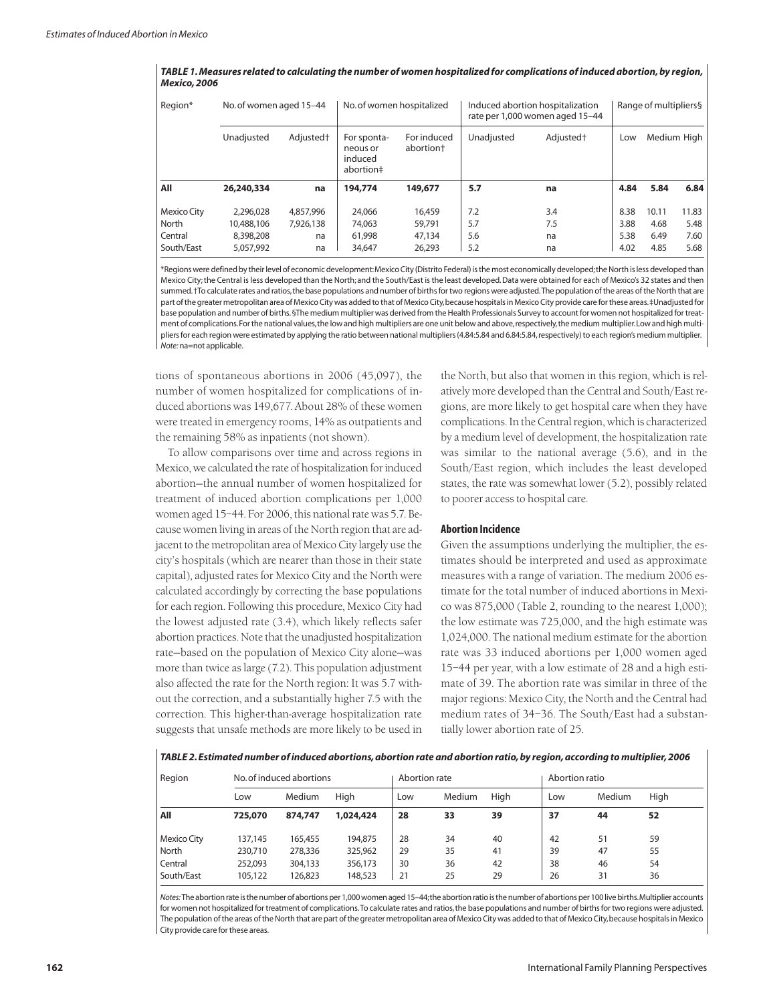| Region*     | No. of women aged 15-44 |                       | No. of women hospitalized                       |                                      | Induced abortion hospitalization<br>rate per 1,000 women aged 15-44 | Range of multipliers§ |      |       |             |
|-------------|-------------------------|-----------------------|-------------------------------------------------|--------------------------------------|---------------------------------------------------------------------|-----------------------|------|-------|-------------|
|             | Unadjusted              | Adjusted <sup>+</sup> | For sponta-<br>neous or<br>induced<br>abortion# | For induced<br>abortion <sup>+</sup> | Unadiusted                                                          | Adjusted <sup>+</sup> | Low  |       | Medium High |
| All         | 26,240,334              | na                    | 194,774                                         | 149,677                              | 5.7                                                                 | na                    | 4.84 | 5.84  | 6.84        |
| Mexico City | 2.296.028               | 4,857,996             | 24,066                                          | 16,459                               | 7.2                                                                 | 3.4                   | 8.38 | 10.11 | 11.83       |
| North       | 10,488,106              | 7.926.138             | 74,063                                          | 59,791                               | 5.7                                                                 | 7.5                   | 3.88 | 4.68  | 5.48        |
| Central     | 8,398,208               | na                    | 61,998                                          | 47.134                               | 5.6                                                                 | na                    | 5.38 | 6.49  | 7.60        |
| South/East  | 5,057,992               | na                    | 34,647                                          | 26,293                               | 5.2                                                                 | na                    | 4.02 | 4.85  | 5.68        |

TABLE 1. Measures related to calculating the number of women hospitalized for complications of induced abortion, by region, *Mexico,2006*

\*Regionswere defined by theirlevel of economic development:Mexico City (Distrito Federal) isthe most economically developed;theNorth isless developed than Mexico City;the Central isless developed than the North; and the South/East isthe least developed.Data were obtained for each of Mexico's 32 states and then summed. †To calculate rates and ratios, the base populations and number of births for two regions were adjusted. The population of the areas of the North that are part ofthe greater metropolitan area of Mexico City was added to that of Mexico City,because hospitalsin Mexico City provide care forthese areas.‡Unadjusted for base population and number of births. §The medium multiplier was derived from the Health Professionals Survey to account for women not hospitalized for treatment of complications.Forthe national values,the low and high multipliers are one unit below and above,respectively,the medium multiplier.Low and high multipliers for each region were estimated by applying the ratio between national multipliers (4.84:5.84 and 6.84:5.84,respectively) to each region's medium multiplier. *Note:* na=not applicable.

tions of spontaneous abortions in 2006 (45,097), the number of women hospitalized for complications of induced abortions was 149,677. About 28% of these women were treated in emergency rooms, 14% as outpatients and the remaining 58% as inpatients (not shown).

To allow comparisons over time and across regions in Mexico, we calculated the rate of hospitalization for induced abortion—the annual number of women hospitalized for treatment of induced abortion complications per 1,000 women aged 15-44. For 2006, this national rate was 5.7. Because women living in areas of the North region that are adjacent to the metropolitan area of Mexico City largely use the city's hospitals (which are nearer than those in their state capital), adjusted rates for Mexico City and the North were calculated accordingly by correcting the base populations for each region. Following this procedure, Mexico City had the lowest adjusted rate (3.4), which likely reflects safer abortion practices. Note that the unadjusted hospitalization rate—based on the population of Mexico City alone—was more than twice as large (7.2). This population adjustment also affected the rate for the North region: It was 5.7 without the correction, and a substantially higher 7.5 with the correction. This higher-than-average hospitalization rate suggests that unsafe methods are more likely to be used in the North, but also that women in this region, which is relatively more developed than theCentral and South/Eastregions, are more likely to get hospital care when they have complications. In the Central region, which is characterized by a medium level of development, the hospitalization rate was similar to the national average (5.6), and in the South/East region, which includes the least developed states, the rate was somewhat lower (5.2), possibly related to poorer access to hospital care.

## **Abortion Incidence**

Given the assumptions underlying the multiplier, the estimates should be interpreted and used as approximate measures with a range of variation. The medium 2006 estimate for the total number of induced abortions in Mexico was 875,000 (Table 2, rounding to the nearest 1,000); the low estimate was 725,000, and the high estimate was 1,024,000. The national medium estimate for the abortion rate was 33 induced abortions per 1,000 women aged 15–44 per year, with a low estimate of 28 and a high estimate of 39. The abortion rate was similar in three of the major regions: Mexico City, the North and the Central had medium rates of 34–36. The South/East had a substantially lower abortion rate of 25.

*TABLE 2.Estimated number ofinduced abortions,abortion rate and abortion ratio,by region,according to multiplier,2006*

| Region             |         | No. of induced abortions |           | Abortion rate |        |      |     | Abortion ratio |      |  |
|--------------------|---------|--------------------------|-----------|---------------|--------|------|-----|----------------|------|--|
|                    | Low     | Medium                   | High      | Low           | Medium | High | Low | Medium         | High |  |
| All                | 725,070 | 874,747                  | 1,024,424 | 28            | 33     | 39   | 37  | 44             | 52   |  |
| <b>Mexico City</b> | 137,145 | 165.455                  | 194.875   | 28            | 34     | 40   | 42  | 51             | 59   |  |
| North              | 230,710 | 278,336                  | 325,962   | 29            | 35     | 41   | 39  | 47             | 55   |  |
| Central            | 252.093 | 304,133                  | 356,173   | 30            | 36     | 42   | 38  | 46             | 54   |  |
| South/East         | 105,122 | 126,823                  | 148,523   | 21            | 25     | 29   | 26  | 31             | 36   |  |

Notes: The abortion rate is the number of abortions per 1,000 women aged 15-44; the abortion ratio is the number of abortions per 100 live births. Multiplier accounts for women not hospitalized for treatment of complications. To calculate rates and ratios, the base populations and number of births for two regions were adjusted. The population of the areas of the North that are part of the greater metropolitan area of Mexico City was added to that of Mexico City, because hospitals in Mexico City provide care for these areas.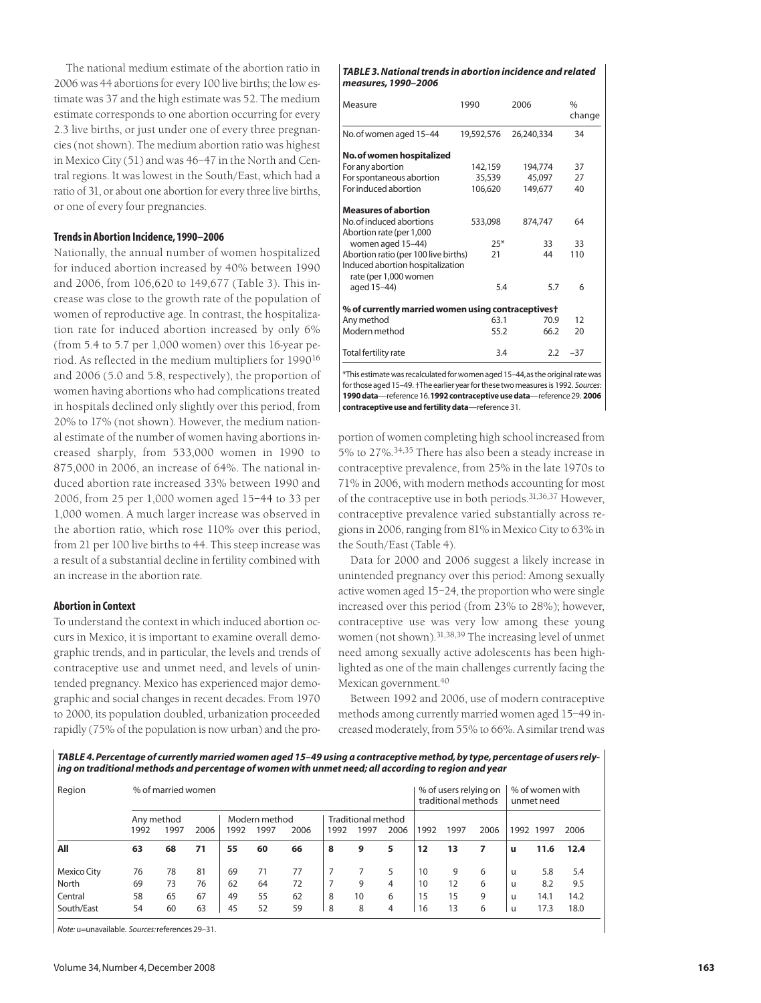The national medium estimate of the abortion ratio in 2006 was 44 abortions for every 100 live births; the low estimate was 37 and the high estimate was 52. The medium estimate corresponds to one abortion occurring for every 2.3 live births, or just under one of every three pregnancies (not shown). The medium abortion ratio was highest in Mexico City (51) and was 46–47 in the North and Central regions. It was lowest in the South/East, which had a ratio of 31, or about one abortion for every three live births, or one of every four pregnancies.

## **Trendsin Abortion Incidence,1990–2006**

Nationally, the annual number of women hospitalized for induced abortion increased by 40% between 1990 and 2006, from 106,620 to 149,677 (Table 3). This increase was close to the growth rate of the population of women of reproductive age. In contrast, the hospitalization rate for induced abortion increased by only 6% (from 5.4 to 5.7 per 1,000 women) over this 16-year period. As reflected in the medium multipliers for 1990<sup>16</sup> and 2006 (5.0 and 5.8, respectively), the proportion of women having abortions who had complications treated in hospitals declined only slightly over this period, from 20% to 17% (not shown). However, the medium national estimate of the number of women having abortions increased sharply, from 533,000 women in 1990 to 875,000 in 2006, an increase of 64%. The national induced abortion rate increased 33% between 1990 and 2006, from 25 per 1,000 women aged 15–44 to 33 per 1,000 women. A much larger increase was observed in the abortion ratio, which rose 110% over this period, from 21 per 100 live births to 44. This steep increase was a result of a substantial decline in fertility combined with an increase in the abortion rate.

## **Abortion in Context**

To understand the context in which induced abortion occurs in Mexico, it is important to examine overall demographic trends, and in particular, the levels and trends of contraceptive use and unmet need, and levels of unintended pregnancy. Mexico has experienced major demographic and social changes in recent decades. From 1970 to 2000, its population doubled, urbanization proceeded rapidly (75% of the population is now urban) and the pro-

#### *TABLE 3.Nationaltrends in abortion incidence and related measures,1990–2006*

| Measure                                                   | 1990       | 2006       | $\frac{0}{0}$<br>change |  |
|-----------------------------------------------------------|------------|------------|-------------------------|--|
| No. of women aged 15-44                                   | 19,592,576 | 26,240,334 | 34                      |  |
| No. of women hospitalized                                 |            |            |                         |  |
| For any abortion                                          | 142,159    | 194,774    | 37                      |  |
| For spontaneous abortion                                  | 35,539     | 45,097     | 27                      |  |
| For induced abortion                                      | 106,620    | 149,677    | 40                      |  |
| <b>Measures of abortion</b>                               |            |            |                         |  |
| No. of induced abortions                                  | 533,098    | 874,747    | 64                      |  |
| Abortion rate (per 1,000                                  |            |            |                         |  |
| women aged 15-44)                                         | $25*$      | 33         | 33                      |  |
| Abortion ratio (per 100 live births)                      | 21         | 44         | 110                     |  |
| Induced abortion hospitalization<br>rate (per 1,000 women |            |            |                         |  |
| aged 15-44)                                               | 5.4        | 5.7        | 6                       |  |
| % of currently married women using contraceptivest        |            |            |                         |  |
| Any method                                                | 63.1       | 70.9       | 12                      |  |
| Modern method                                             | 55.2       | 66.2       | 20                      |  |
| <b>Total fertility rate</b>                               | 3.4        | 2.2        | $-37$                   |  |
|                                                           |            |            |                         |  |

\*This estimatewasrecalculatedforwomenaged15–44,astheoriginalratewas forthose aged15–49. †The earlier yearforthese twomeasuresis 1992. *Sources:* **1990data**—reference 16.**1992contraceptiveusedata**—reference 29. **2006 contraceptive use and fertilitydata**—reference 31.

portion of women completing high school increased from 5% to 27%. 34,35 There has also been a steady increase in contraceptive prevalence, from 25% in the late 1970s to 71% in 2006, with modern methods accounting for most of the contraceptive use in both periods.<sup>31,36,37</sup> However, contraceptive prevalence varied substantially across regions in 2006,ranging from 81% in Mexico City to 63% in the South/East (Table 4).

Data for 2000 and 2006 suggest a likely increase in unintended pregnancy over this period: Among sexually active women aged 15–24, the proportion who were single increased over this period (from 23% to 28%); however, contraceptive use was very low among these young women (not shown). 31,38,39 The increasing level of unmet need among sexually active adolescents has been highlighted as one of the main challenges currently facing the Mexican government. 40

Between 1992 and 2006, use of modern contraceptive methods among currently married women aged 15–49 increased moderately, from 55% to 66%. A similar trend was

TABLE 4. Percentage of currently married women aged 15-49 using a contraceptive method, by type, percentage of users rely*ing on traditional methods and percentage of women with unmet need; all according to region and year*

| Region      | % of married women |      |      |               |      |      |                           |      |      | % of users relying on<br>traditional methods |      |      | % of women with<br>unmet need |      |      |
|-------------|--------------------|------|------|---------------|------|------|---------------------------|------|------|----------------------------------------------|------|------|-------------------------------|------|------|
|             | Any method         |      |      | Modern method |      |      | <b>Traditional method</b> |      |      |                                              |      |      |                               |      |      |
|             | 1992               | 1997 | 2006 | 1992          | 1997 | 2006 | 1992                      | 1997 | 2006 | 1992                                         | 1997 | 2006 | 1992                          | 1997 | 2006 |
| All         | 63                 | 68   | 71   | 55            | 60   | 66   | 8                         | 9    | 5    | 12                                           | 13   | 7    | u                             | 11.6 | 12.4 |
| Mexico City | 76                 | 78   | 81   | 69            | 71   | 77   |                           |      | 5.   | 10                                           | 9    | 6    | u                             | 5.8  | 5.4  |
| North       | 69                 | 73   | 76   | 62            | 64   | 72   |                           | 9    | 4    | 10                                           | 12   | 6    | u                             | 8.2  | 9.5  |
| Central     | 58                 | 65   | 67   | 49            | 55   | 62   | 8                         | 10   | 6    | 15                                           | 15   | 9    | u                             | 14.1 | 14.2 |
| South/East  | 54                 | 60   | 63   | 45            | 52   | 59   | 8                         | 8    | 4    | 16                                           | 13   | 6    |                               | 17.3 | 18.0 |

*Note:* u=unavailable. *Sources:*references 29–31.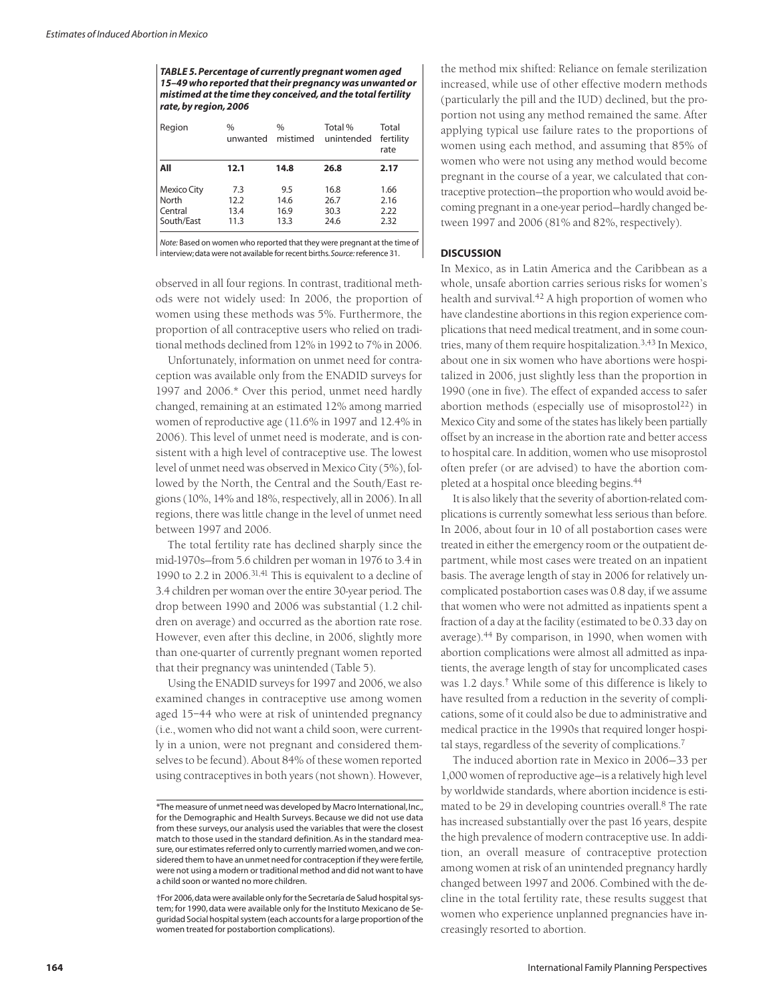*TABLE 5.Percentage of currently pregnant women aged 15–49 who reported thattheir pregnancy was unwanted or mistimed atthe time they conceived,and the totalfertility rate,by region,2006*

| Region                                        | $\frac{0}{0}$<br>unwanted   | $\frac{0}{0}$<br>mistimed   | Total %<br>unintended        | Total<br>fertility<br>rate   |  |  |
|-----------------------------------------------|-----------------------------|-----------------------------|------------------------------|------------------------------|--|--|
| All                                           | 12.1                        | 14.8                        | 26.8                         | 2.17                         |  |  |
| Mexico City<br>North<br>Central<br>South/East | 7.3<br>12.2<br>13.4<br>11.3 | 9.5<br>14.6<br>16.9<br>13.3 | 16.8<br>26.7<br>30.3<br>24.6 | 1.66<br>2.16<br>2.22<br>2.32 |  |  |

*Note:* Based on women who reported that they were pregnant at the time of interview; data were not available for recent births. Source: reference 31.

observed in all four regions. In contrast, traditional methods were not widely used: In 2006, the proportion of women using these methods was 5%. Furthermore, the proportion of all contraceptive users who relied on traditional methods declined from 12% in 1992 to 7% in 2006.

Unfortunately, information on unmet need for contraception was available only from the ENADID surveys for 1997 and 2006.\* Over this period, unmet need hardly changed, remaining at an estimated 12% among married women of reproductive age (11.6% in 1997 and 12.4% in 2006). This level of unmet need is moderate, and is consistent with a high level of contraceptive use. The lowest level of unmet need was observed in Mexico City (5%), followed by the North, the Central and the South/East regions (10%, 14% and 18%, respectively, all in 2006). In all regions, there was little change in the level of unmet need between 1997 and 2006.

The total fertility rate has declined sharply since the mid-1970s—from 5.6 children per woman in 1976 to 3.4 in 1990 to 2.2 in 2006.<sup>31,41</sup> This is equivalent to a decline of 3.4 children per woman over the entire 30-year period. The drop between 1990 and 2006 was substantial (1.2 children on average) and occurred as the abortion rate rose. However, even after this decline, in 2006, slightly more than one-quarter of currently pregnant women reported that their pregnancy was unintended (Table 5).

Using the ENADID surveys for 1997 and 2006, we also examined changes in contraceptive use among women aged 15–44 who were at risk of unintended pregnancy (i.e., women who did not want a child soon, were currently in a union, were not pregnant and considered themselves to be fecund). About 84% of these women reported using contraceptives in both years (not shown). However,

the method mix shifted: Reliance on female sterilization increased, while use of other effective modern methods (particularly the pill and the IUD) declined, but the proportion not using any method remained the same. After applying typical use failure rates to the proportions of women using each method, and assuming that 85% of women who were not using any method would become pregnant in the course of a year, we calculated that contraceptive protection—the proportion who would avoid becoming pregnant in a one-year period—hardly changed between 1997 and 2006 (81% and 82%, respectively).

## **DISCUSSION**

In Mexico, as in Latin America and the Caribbean as a whole, unsafe abortion carries serious risks for women's health and survival. <sup>42</sup> A high proportion of women who have clandestine abortions in this region experience complications that need medical treatment, and in some countries, many of them require hospitalization. 3,43 In Mexico, about one in six women who have abortions were hospitalized in 2006, just slightly less than the proportion in 1990 (one in five). The effect of expanded access to safer abortion methods (especially use of misoprostol<sup>22</sup>) in Mexico City and some of the states has likely been partially offset by an increase in the abortion rate and better access to hospital care. In addition, women who use misoprostol often prefer (or are advised) to have the abortion completed at a hospital once bleeding begins. 44

It is also likely that the severity of abortion-related complications is currently somewhat less serious than before. In 2006, about four in 10 of all postabortion cases were treated in either the emergency room or the outpatient department, while most cases were treated on an inpatient basis. The average length of stay in 2006 for relatively uncomplicated postabortion cases was 0.8 day, if we assume that women who were not admitted as inpatients spent a fraction of a day at the facility (estimated to be 0.33 day on average). <sup>44</sup> By comparison, in 1990, when women with abortion complications were almost all admitted as inpatients, the average length of stay for uncomplicated cases was 1.2 days. † While some of this difference is likely to have resulted from a reduction in the severity of complications, some of it could also be due to administrative and medical practice in the 1990s that required longer hospital stays, regardless of the severity of complications. 7

The induced abortion rate in Mexico in 2006—33 per 1,000 women of reproductive age—is a relatively high level by worldwide standards, where abortion incidence is estimated to be 29 in developing countries overall. <sup>8</sup> The rate has increased substantially over the past 16 years, despite the high prevalence of modern contraceptive use. In addition, an overall measure of contraceptive protection among women at risk of an unintended pregnancy hardly changed between 1997 and 2006. Combined with the decline in the total fertility rate, these results suggest that women who experience unplanned pregnancies have increasingly resorted to abortion.

<sup>\*</sup>The measure of unmet need was developed by Macro International, Inc., for the Demographic and Health Surveys. Because we did not use data from these surveys, our analysis used the variables that were the closest match to those used in the standard definition.As in the standard measure, our estimates referred only to currently married women, and we considered them to have an unmet need for contraception if they were fertile. were not using a modern or traditional method and did not want to have a child soon or wanted no more children.

<sup>†</sup>For 2006,data were available only forthe Secretaría de Salud hospitalsystem; for 1990, data were available only for the Instituto Mexicano de Seguridad Social hospital system (each accounts for a large proportion of the women treated for postabortion complications).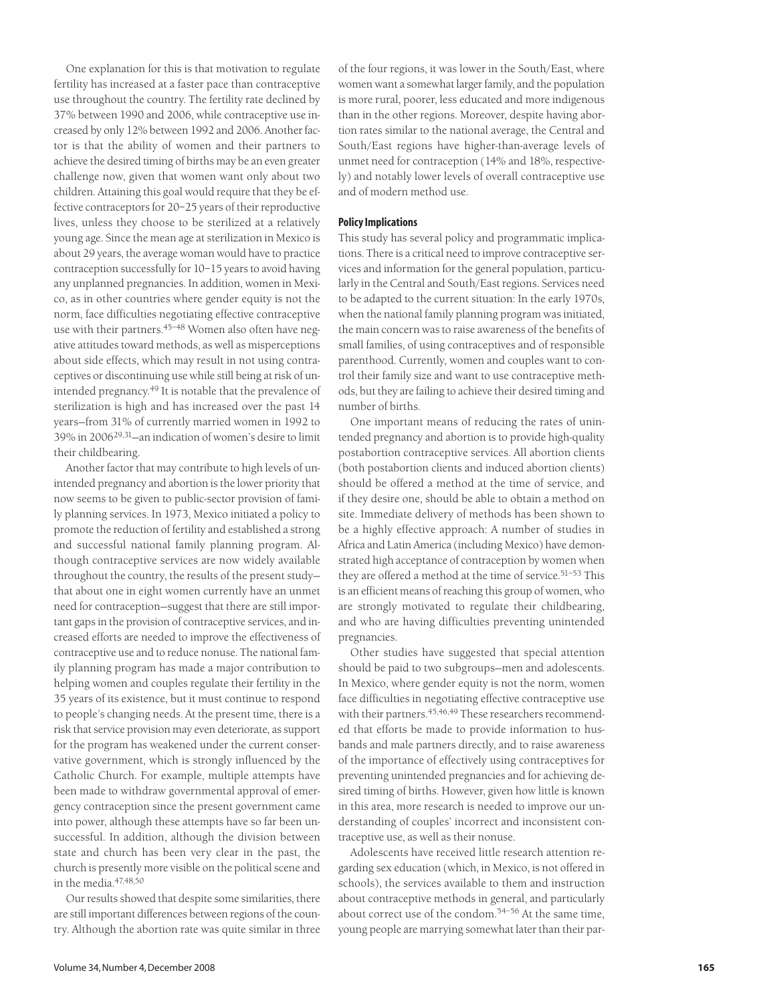One explanation for this is that motivation to regulate fertility has increased at a faster pace than contraceptive use throughout the country. The fertility rate declined by 37% between 1990 and 2006, while contraceptive use increased by only 12% between 1992 and 2006. Another factor is that the ability of women and their partners to achieve the desired timing of births may be an even greater challenge now, given that women want only about two children. Attaining this goal would require that they be effective contraceptors for  $20-25$  years of their reproductive lives, unless they choose to be sterilized at a relatively young age. Since the mean age at sterilization in Mexico is about 29 years, the average woman would have to practice contraception successfully for 10–15 years to avoid having any unplanned pregnancies. In addition, women in Mexico, as in other countries where gender equity is not the norm, face difficulties negotiating effective contraceptive use with their partners.<sup>45-48</sup> Women also often have negative attitudes toward methods, as well as misperceptions about side effects, which may result in not using contraceptives or discontinuing use while still being at risk of unintended pregnancy. <sup>49</sup> It is notable that the prevalence of sterilization is high and has increased over the past 14 years—from 31% of currently married women in 1992 to 39% in 200629,31—an indication of women's desire to limit their childbearing.

Another factor that may contribute to high levels of unintended pregnancy and abortion is the lower priority that now seems to be given to public-sector provision of family planning services. In 1973, Mexico initiated a policy to promote the reduction of fertility and established a strong and successful national family planning program. Although contraceptive services are now widely available throughout the country, the results of the present study that about one in eight women currently have an unmet need for contraception—suggest that there are still important gaps in the provision of contraceptive services, and increased efforts are needed to improve the effectiveness of contraceptive use and to reduce nonuse. The national family planning program has made a major contribution to helping women and couples regulate their fertility in the 35 years of its existence, but it must continue to respond to people's changing needs. At the present time, there is a risk that service provision may even deteriorate, as support for the program has weakened under the current conservative government, which is strongly influenced by the Catholic Church. For example, multiple attempts have been made to withdraw governmental approval of emergency contraception since the present government came into power, although these attempts have so far been unsuccessful. In addition, although the division between state and church has been very clear in the past, the church is presently more visible on the political scene and in the media. 47,48,50

Our results showed that despite some similarities, there are still important differences between regions of the country. Although the abortion rate was quite similar in three of the four regions, it was lower in the South/East, where women want a somewhat larger family, and the population is more rural, poorer, less educated and more indigenous than in the other regions. Moreover, despite having abortion rates similar to the national average, the Central and South/East regions have higher-than-average levels of unmet need for contraception (14% and 18%, respectively) and notably lower levels of overall contraceptive use and of modern method use.

## **PolicyImplications**

This study has several policy and programmatic implications. There is a critical need to improve contraceptive services and information for the general population, particularly in the Central and South/East regions. Services need to be adapted to the current situation: In the early 1970s, when the national family planning program was initiated, the main concern was to raise awareness of the benefits of small families, of using contraceptives and of responsible parenthood. Currently, women and couples want to control their family size and want to use contraceptive methods, but they are failing to achieve their desired timing and number of births.

One important means of reducing the rates of unintended pregnancy and abortion is to provide high-quality postabortion contraceptive services. All abortion clients (both postabortion clients and induced abortion clients) should be offered a method at the time of service, and if they desire one, should be able to obtain a method on site. Immediate delivery of methods has been shown to be a highly effective approach: A number of studies in Africa and Latin America (including Mexico) have demonstrated high acceptance of contraception by women when they are offered a method at the time of service. 51–53 This is an efficient means of reaching this group of women, who are strongly motivated to regulate their childbearing, and who are having difficulties preventing unintended pregnancies.

Other studies have suggested that special attention should be paid to two subgroups—men and adolescents. In Mexico, where gender equity is not the norm, women face difficulties in negotiating effective contraceptive use with their partners. 45,46,49 These researchers recommended that efforts be made to provide information to husbands and male partners directly, and to raise awareness of the importance of effectively using contraceptives for preventing unintended pregnancies and for achieving desired timing of births. However, given how little is known in this area, more research is needed to improve our understanding of couples' incorrect and inconsistent contraceptive use, as well as their nonuse.

Adolescents have received little research attention regarding sex education (which, in Mexico, is not offered in schools), the services available to them and instruction about contraceptive methods in general, and particularly about correct use of the condom. 54–56 At the same time, young people are marrying somewhat later than their par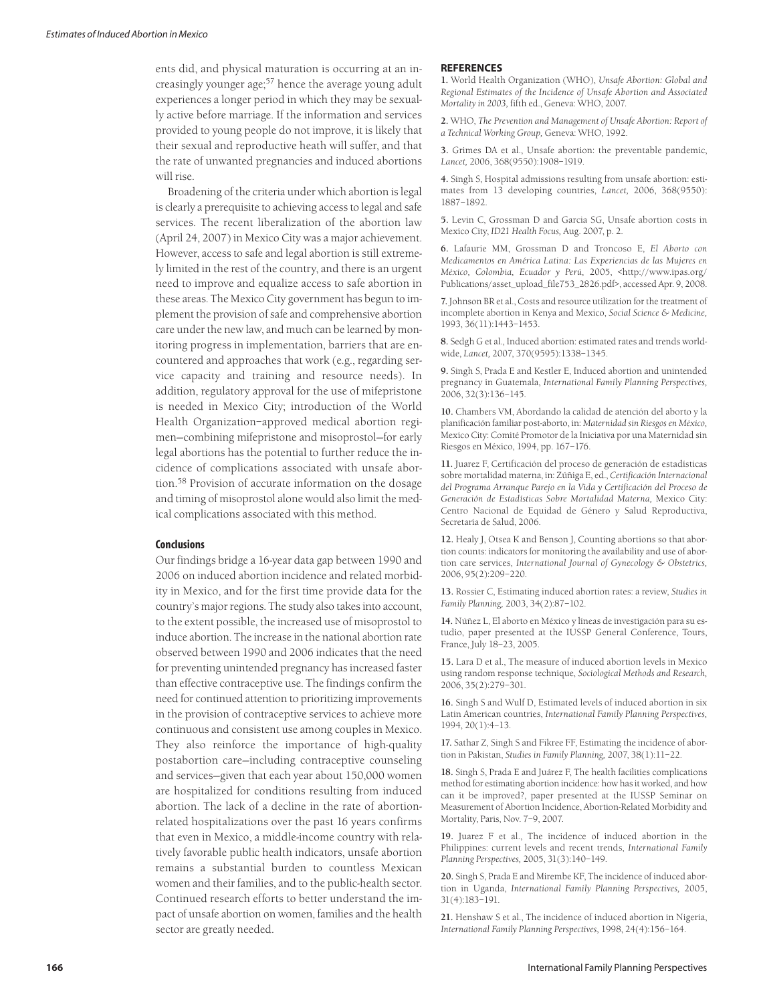ents did, and physical maturation is occurring at an increasingly younger age; <sup>57</sup> hence the average young adult experiences a longer period in which they may be sexually active before marriage. If the information and services provided to young people do not improve, it is likely that their sexual and reproductive heath will suffer, and that the rate of unwanted pregnancies and induced abortions will rise.

Broadening of the criteria under which abortion is legal is clearly a prerequisite to achieving access to legal and safe services. The recent liberalization of the abortion law (April 24, 2007) in Mexico City was a major achievement. However, access to safe and legal abortion is still extremely limited in the rest of the country, and there is an urgent need to improve and equalize access to safe abortion in these areas. The Mexico City government has begun to implement the provision of safe and comprehensive abortion care under the new law, and much can be learned by monitoring progress in implementation, barriers that are encountered and approaches that work (e.g., regarding service capacity and training and resource needs). In addition, regulatory approval for the use of mifepristone is needed in Mexico City; introduction of the World Health Organization–approved medical abortion regimen—combining mifepristone and misoprostol—for early legal abortions has the potential to further reduce the incidence of complications associated with unsafe abortion. <sup>58</sup> Provision of accurate information on the dosage and timing of misoprostol alone would also limit the medical complications associated with this method.

#### **Conclusions**

Our findings bridge a 16-year data gap between 1990 and 2006 on induced abortion incidence and related morbidity in Mexico, and for the first time provide data for the country's major regions. The study also takes into account, to the extent possible, the increased use of misoprostol to induce abortion. The increase in the national abortion rate observed between 1990 and 2006 indicates that the need for preventing unintended pregnancy has increased faster than effective contraceptive use. The findings confirm the need for continued attention to prioritizing improvements in the provision of contraceptive services to achieve more continuous and consistent use among couples in Mexico. They also reinforce the importance of high-quality postabortion care—including contraceptive counseling and services—given that each year about 150,000 women are hospitalized for conditions resulting from induced abortion. The lack of a decline in the rate of abortionrelated hospitalizations over the past 16 years confirms that even in Mexico, a middle-income country with relatively favorable public health indicators, unsafe abortion remains a substantial burden to countless Mexican women and their families, and to the public-health sector. Continued research efforts to better understand the impact of unsafe abortion on women, families and the health sector are greatly needed.

#### **REFERENCES**

**1.** World Health Organization (WHO), *Unsafe Abortion: Global and Regional Estimates of the Incidence of Unsafe Abortion and Associated Mortality in 2003,* fifth ed., Geneva: WHO, 2007.

**2.** WHO, *The Prevention and Management of Unsafe Abortion: Report of a Technical Working Group,* Geneva: WHO, 1992.

**3.** Grimes DA et al., Unsafe abortion: the preventable pandemic, *Lancet,* 2006, 368(9550):1908–1919.

**4.** Singh S, Hospital admissions resulting from unsafe abortion: estimates from 13 developing countries, *Lancet,* 2006, 368(9550): 1887–1892.

**5.** Levin C, Grossman D and Garcia SG, Unsafe abortion costs in Mexico City, *ID21 Health Focus,* Aug. 2007, p. 2.

**6.** Lafaurie MM, Grossman D and Troncoso E, *El Aborto con Medicamentos en América Latina: Las Experiencias de las Mujeres en México, Colombia, Ecuador y Perú,* 2005, <http://www.ipas.org/ Publications/asset\_upload\_file753\_2826.pdf>, accessed Apr. 9, 2008.

**7.** Johnson BR et al., Costs and resource utilization forthe treatment of incomplete abortion in Kenya and Mexico, *Social Science & Medicine,* 1993, 36(11):1443–1453.

**8.** Sedgh G et al., Induced abortion: estimated rates and trends worldwide, *Lancet,* 2007, 370(9595):1338–1345.

**9.** Singh S, Prada E and Kestler E, Induced abortion and unintended pregnancy in Guatemala, *International Family Planning Perspectives,* 2006, 32(3):136–145.

**10.** Chambers VM, Abordando la calidad de atención del aborto y la planificación familiar post-aborto, in: *Maternidad sin Riesgosen México,* Mexico City: Comité Promotor de la Iniciativa por una Maternidad sin Riesgos en México, 1994, pp. 167–176.

**11.** Juarez F, Certificación del proceso de generación de estadísticas sobre mortalidad materna, in: Zúñiga E, ed., *Certificación Internacional del Programa Arranque Parejo en la Vida y Certificación del Proceso de Generación de Estadísticas Sobre Mortalidad Materna,* Mexico City: Centro Nacional de Equidad de Género y Salud Reproductiva, Secretaría de Salud, 2006.

**12.** Healy J, Otsea K and Benson J, Counting abortions so that abortion counts: indicators for monitoring the availability and use of abortion care services, *International Journal of Gynecology & Obstetrics,* 2006, 95(2):209–220.

**13.** Rossier C, Estimating induced abortion rates: a review, *Studies in Family Planning,* 2003, 34(2):87–102.

**14.** Núñez L, El aborto en México y líneas de investigación para su estudio, paper presented at the IUSSP General Conference, Tours, France, July 18–23, 2005.

**15.** Lara D et al., The measure of induced abortion levels in Mexico using random response technique, *Sociological Methods and Research,* 2006, 35(2):279–301.

**16.** Singh S and Wulf D, Estimated levels of induced abortion in six Latin American countries, *International Family Planning Perspectives,* 1994, 20(1):4–13.

**17.** Sathar Z, Singh S and Fikree FF, Estimating the incidence of abortion in Pakistan, *Studies in Family Planning,* 2007, 38(1):11–22.

**18.** Singh S, Prada E and Juárez F, The health facilities complications method for estimating abortion incidence: how has it worked, and how can it be improved?, paper presented at the IUSSP Seminar on Measurement of Abortion Incidence, Abortion-Related Morbidity and Mortality, Paris, Nov. 7–9, 2007.

**19.** Juarez F et al., The incidence of induced abortion in the Philippines: current levels and recent trends, *International Family Planning Perspectives,* 2005, 31(3):140–149.

**20.** Singh S, Prada E and Mirembe KF, The incidence of induced abortion in Uganda, *International Family Planning Perspectives,* 2005, 31(4):183–191.

**21.** Henshaw S et al., The incidence of induced abortion in Nigeria, *International Family Planning Perspectives,* 1998, 24(4):156–164.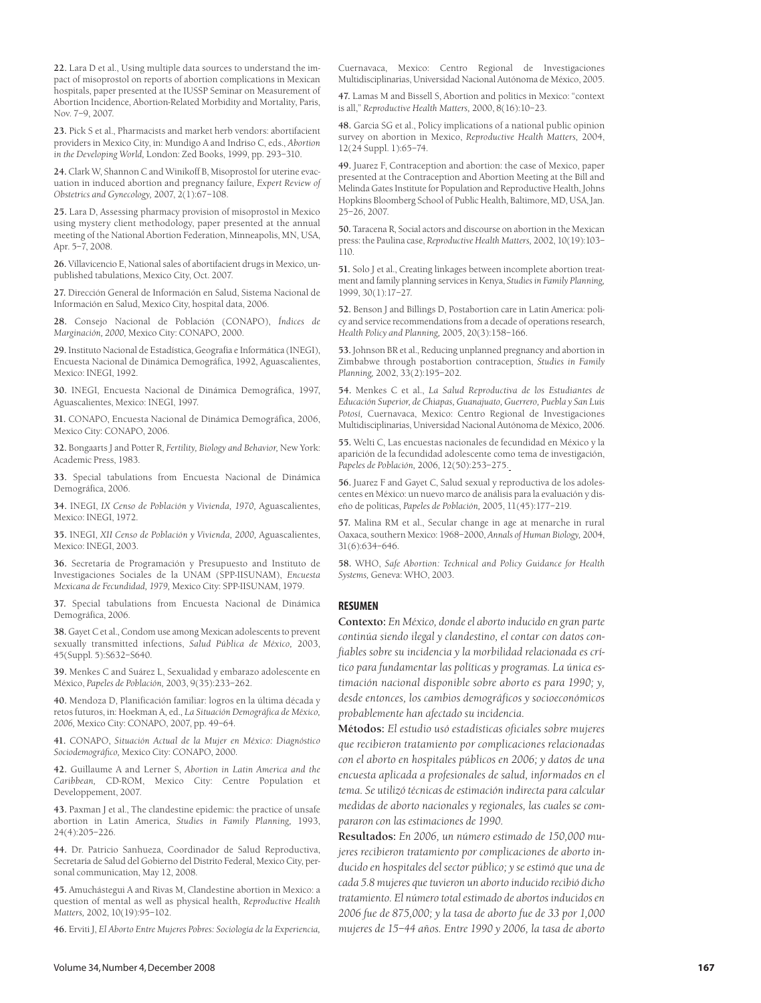**22.** Lara D et al., Using multiple data sources to understand the impact of misoprostol on reports of abortion complications in Mexican hospitals, paper presented at the IUSSP Seminar on Measurement of Abortion Incidence, Abortion-Related Morbidity and Mortality, Paris, Nov. 7–9, 2007.

**23.** Pick S et al., Pharmacists and market herb vendors: abortifacient providers in Mexico City, in: Mundigo A and Indriso C, eds., *Abortion in the Developing World,* London: Zed Books, 1999, pp. 293–310.

**24.** Clark W, Shannon C and Winikoff B, Misoprostol for uterine evacuation in induced abortion and pregnancy failure, *Expert Review of Obstetrics and Gynecology,* 2007, 2(1):67–108.

**25.** Lara D, Assessing pharmacy provision of misoprostol in Mexico using mystery client methodology, paper presented at the annual meeting of the National Abortion Federation, Minneapolis, MN, USA, Apr. 5–7, 2008.

**26.** Villavicencio E, National sales of abortifacient drugs in Mexico, unpublished tabulations, Mexico City, Oct. 2007.

**27.** Dirección General de Información en Salud, Sistema Nacional de Información en Salud, Mexico City, hospital data, 2006.

**28.** Consejo Nacional de Población (CONAPO), *Índices de Marginación, 2000,* Mexico City: CONAPO, 2000.

**29.** Instituto Nacional de Estadística, Geografía e Informática (INEGI), Encuesta Nacional de Dinámica Demográfica, 1992, Aguascalientes, Mexico: INEGI, 1992.

**30.** INEGI, Encuesta Nacional de Dinámica Demográfica, 1997, Aguascalientes, Mexico: INEGI, 1997.

**31.** CONAPO, Encuesta Nacional de Dinámica Demográfica, 2006, Mexico City: CONAPO, 2006.

**32.** Bongaarts J and Potter R, *Fertility, Biology and Behavior,* New York: Academic Press, 1983.

**33.** Special tabulations from Encuesta Nacional de Dinámica Demográfica, 2006.

**34.** INEGI, *IX Censo de Población y Vivienda, 1970,* Aguascalientes, Mexico: INEGI, 1972.

**35.** INEGI, *XII Censo de Población y Vivienda, 2000,* Aguascalientes, Mexico: INEGI, 2003.

**36.** Secretaría de Programación y Presupuesto and Instituto de Investigaciones Sociales de la UNAM (SPP-IISUNAM), *Encuesta Mexicana de Fecundidad, 1979,* Mexico City: SPP-IISUNAM, 1979.

**37.** Special tabulations from Encuesta Nacional de Dinámica Demográfica, 2006.

**38.** Gayet C et al., Condom use among Mexican adolescents to prevent sexually transmitted infections, *Salud Pública de México,* 2003, 45(Suppl. 5):S632–S640.

**39.** Menkes C and Suárez L, Sexualidad y embarazo adolescente en México, *Papeles de Población,* 2003, 9(35):233–262.

**40.** Mendoza D, Planificación familiar: logros en la última década y retos futuros, in: Hoekman A, ed., *La Situación Demográfica de México, 2006,* Mexico City: CONAPO, 2007, pp. 49–64.

**41.** CONAPO, *Situación Actual de la Mujer en México: Diagnóstico Sociodemográfico,* Mexico City: CONAPO, 2000.

**42.** Guillaume A and Lerner S, *Abortion in Latin America and the Caribbean,* CD-ROM, Mexico City: Centre Population et Developpement, 2007.

**43.** Paxman J et al., The clandestine epidemic: the practice of unsafe abortion in Latin America, *Studies in Family Planning,* 1993, 24(4):205–226.

**44.** Dr. Patricio Sanhueza, Coordinador de Salud Reproductiva, Secretaría de Salud del Gobierno del Distrito Federal, Mexico City, personal communication, May 12, 2008.

**45.** Amuchástegui A and Rivas M, Clandestine abortion in Mexico: a question of mental as well as physical health, *Reproductive Health Matters,* 2002, 10(19):95–102.

**46.** Erviti J, *El Aborto Entre Mujeres Pobres: Sociología de la Experiencia,*

Cuernavaca, Mexico: Centro Regional de Investigaciones Multidisciplinarias, Universidad Nacional Autónoma de México, 2005.

**47.** Lamas M and Bissell S, Abortion and politics in Mexico: "context is all," *Reproductive Health Matters,* 2000, 8(16):10–23.

**48.** Garcia SG et al., Policy implications of a national public opinion survey on abortion in Mexico, *Reproductive Health Matters,* 2004, 12(24 Suppl. 1):65–74.

**49.** Juarez F, Contraception and abortion: the case of Mexico, paper presented at the Contraception and Abortion Meeting at the Bill and Melinda Gates Institute for Population and Reproductive Health, Johns Hopkins Bloomberg School of Public Health, Baltimore, MD, USA, Jan. 25–26, 2007.

**50.** Taracena R, Social actors and discourse on abortion in the Mexican press: the Paulina case, *Reproductive Health Matters,* 2002, 10(19):103– 110.

**51.** Solo J et al., Creating linkages between incomplete abortion treatment and family planning services in Kenya, *Studies in Family Planning,* 1999, 30(1):17–27.

**52.** Benson J and Billings D, Postabortion care in Latin America: policy and service recommendations from a decade of operations research, *Health Policy and Planning,* 2005, 20(3):158–166.

**53.** Johnson BR et al., Reducing unplanned pregnancy and abortion in Zimbabwe through postabortion contraception, *Studies in Family Planning,* 2002, 33(2):195–202.

**54.** Menkes C et al., *La Salud Reproductiva de los Estudiantes de Educación Superior, de Chiapas, Guanajuato, Guerrero, Puebla y San Luis Potosí,* Cuernavaca, Mexico: Centro Regional de Investigaciones Multidisciplinarias, Universidad Nacional Autónoma de México, 2006.

**55.** Welti C, Las encuestas nacionales de fecundidad en México y la aparición de la fecundidad adolescente como tema de investigación, *Papeles de Población,* 2006, 12(50):253–275.

**56.** Juarez F and Gayet C, Salud sexual y reproductiva de los adolescentes en México: un nuevo marco de análisis para la evaluación y diseño de políticas, *Papeles de Población,* 2005, 11(45):177–219.

**57.** Malina RM et al., Secular change in age at menarche in rural Oaxaca, southern Mexico: 1968–2000, *Annals of Human Biology,* 2004, 31(6):634–646.

**58.** WHO, *Safe Abortion: Technical and Policy Guidance for Health Systems,* Geneva: WHO, 2003.

#### **RESUMEN**

**Contexto:** *En México, dondeel aborto inducido en gran parte continúa siendo ilegal y clandestino, el contar con datos confiables sobre su incidencia y la morbilidad relacionada es crítico para fundamentar las políticas y programas. La única estimación nacional disponible sobre aborto es para 1990; y, desde entonces, los cambios demográficos y socioeconómicos probablemente han afectado su incidencia.*

**Métodos:** *El estudio usó estadísticas oficiales sobre mujeres que recibieron tratamiento por complicaciones relacionadas con el aborto en hospitales públicos en 2006; y datos de una encuesta aplicada a profesionales de salud, informados en el tema. Se utilizó técnicas deestimación indirecta para calcular medidas de aborto nacionales y regionales, las cuales se compararon con las estimaciones de 1990.*

**Resultados:** *En 2006, un número estimado de 150,000 mujeres recibieron tratamiento por complicaciones de aborto inducido en hospitales del sector público; y se estimó que una de cada 5.8 mujeres quetuvieron un aborto inducido recibió dicho tratamiento. El número totalestimado de abortos inducidosen 2006 fue de 875,000; y la tasa de aborto fue de 33 por 1,000 mujeres de 15–44 años. Entre 1990 y 2006, la tasa de aborto*